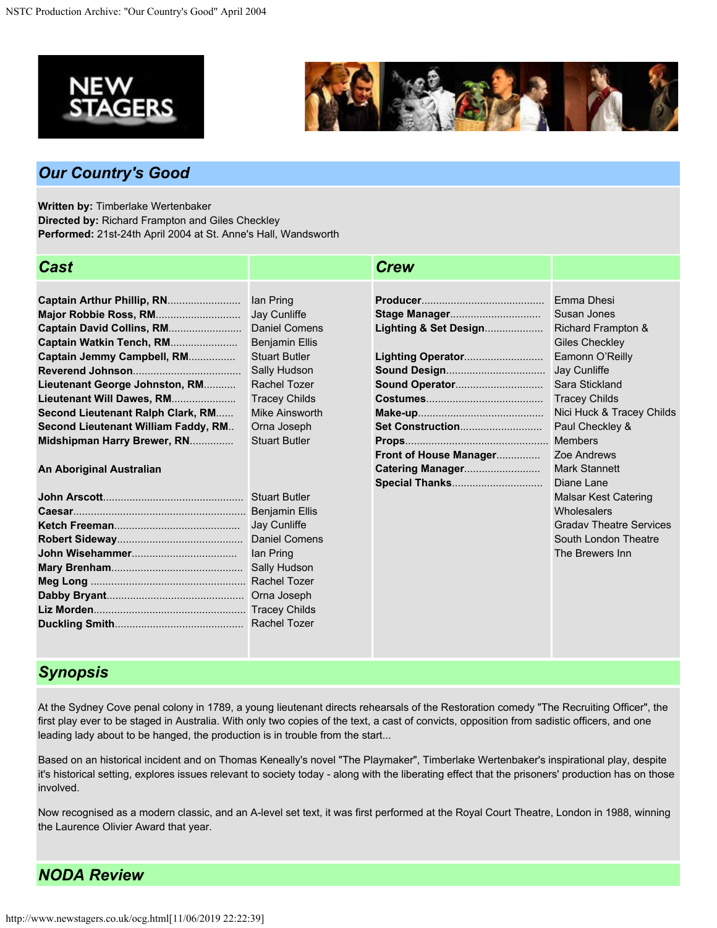



## *Our Country's Good*

**Written by:** Timberlake Wertenbaker **Directed by:** Richard Frampton and Giles Checkley **Performed:** 21st-24th April 2004 at St. Anne's Hall, Wandsworth

| <b>Cast</b>                         |                       | <b>Crew</b>            |                                |
|-------------------------------------|-----------------------|------------------------|--------------------------------|
|                                     |                       |                        |                                |
|                                     | lan Pring             |                        | Emma Dhesi                     |
|                                     | <b>Jay Cunliffe</b>   | Stage Manager          | Susan Jones                    |
| Captain David Collins, RM           | <b>Daniel Comens</b>  | Lighting & Set Design  | <b>Richard Frampton &amp;</b>  |
| Captain Watkin Tench, RM            | <b>Benjamin Ellis</b> |                        | Giles Checkley                 |
| Captain Jemmy Campbell, RM          | <b>Stuart Butler</b>  |                        | Eamonn O'Reilly                |
|                                     | Sally Hudson          | <b>Sound Design</b>    | <b>Jay Cunliffe</b>            |
| Lieutenant George Johnston, RM      | Rachel Tozer          |                        | Sara Stickland                 |
| Lieutenant Will Dawes, RM           | <b>Tracey Childs</b>  |                        | <b>Tracey Childs</b>           |
| Second Lieutenant Ralph Clark, RM   | Mike Ainsworth        |                        | Nici Huck & Tracey Childs      |
| Second Lieutenant William Faddy, RM | Orna Joseph           | Set Construction       | Paul Checkley &                |
| Midshipman Harry Brewer, RN         | <b>Stuart Butler</b>  |                        | <b>Members</b>                 |
|                                     |                       | Front of House Manager | Zoe Andrews                    |
| An Aboriginal Australian            |                       | Catering Manager       | <b>Mark Stannett</b>           |
|                                     |                       | Special Thanks         | Diane Lane                     |
|                                     |                       |                        | Malsar Kest Catering           |
|                                     |                       |                        | Wholesalers                    |
|                                     | <b>Jay Cunliffe</b>   |                        | <b>Gradav Theatre Services</b> |
|                                     | <b>Daniel Comens</b>  |                        | South London Theatre           |
|                                     | lan Pring             |                        | The Brewers Inn                |
|                                     | Sally Hudson          |                        |                                |
|                                     |                       |                        |                                |
|                                     |                       |                        |                                |
|                                     |                       |                        |                                |
|                                     |                       |                        |                                |

## *Synopsis*

At the Sydney Cove penal colony in 1789, a young lieutenant directs rehearsals of the Restoration comedy "The Recruiting Officer", the first play ever to be staged in Australia. With only two copies of the text, a cast of convicts, opposition from sadistic officers, and one leading lady about to be hanged, the production is in trouble from the start...

Based on an historical incident and on Thomas Keneally's novel "The Playmaker", Timberlake Wertenbaker's inspirational play, despite it's historical setting, explores issues relevant to society today - along with the liberating effect that the prisoners' production has on those involved.

Now recognised as a modern classic, and an A-level set text, it was first performed at the Royal Court Theatre, London in 1988, winning the Laurence Olivier Award that year.

## *NODA Review*